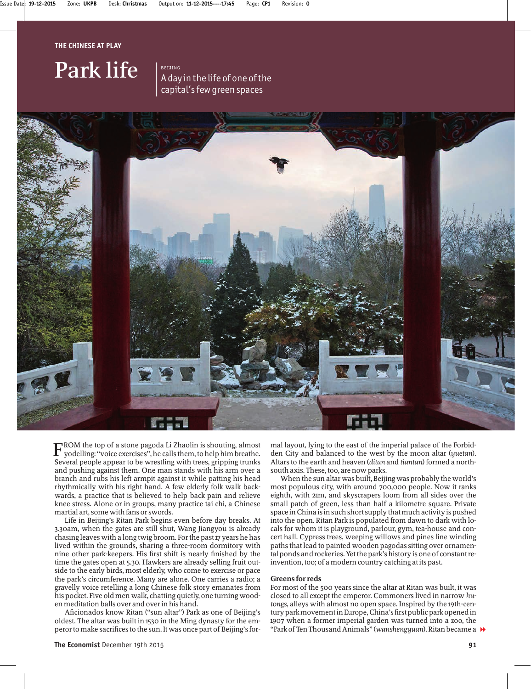Issue Date: **19-12-2015** Zone: **UKPB** Desk: **Christmas** Output on: **11-12-2015----17:45** Page: **CP1** Revision: **0**

# **THE CHINESE AT PLAY**

# Park life

A day in the life of one of the capital's few green spaces



FROM the top of a stone pagoda Li Zhaolin is shouting, almost yodelling: "voice exercises", he calls them, to help him breathe. Several people appear to be wrestling with trees, gripping trunks and pushing against them. One man stands with his arm over a branch and rubs his left armpit against it while patting his head rhythmically with his right hand. A few elderly folk walk backwards, a practice that is believed to help back pain and relieve knee stress. Alone or in groups, many practice tai chi, a Chinese martial art, some with fans or swords.

Life in Beijing's Ritan Park begins even before day breaks. At 3.30am, when the gates are still shut, Wang Jiangyou is already chasing leaves with a long twig broom. Forthe past17 years he has lived within the grounds, sharing a three-room dormitory with nine other park-keepers. His first shift is nearly finished by the time the gates open at 5.30. Hawkers are already selling fruit outside to the early birds, most elderly, who come to exercise or pace the park's circumference. Many are alone. One carries a radio; a gravelly voice retelling a long Chinese folk story emanates from his pocket. Five old men walk, chatting quietly, one turning wooden meditation balls over and over in his hand.

Aficionados know Ritan ("sun altar") Park as one of Beijing's oldest. The altar was built in 1530 in the Ming dynasty for the emperor to make sacrifices to the sun. It was once part of Beijing's for-

**The Economist** December 19th 2015 **91**

mal layout, lying to the east of the imperial palace of the Forbidden City and balanced to the west by the moon altar (*yuetan*). Altars to the earth and heaven (*ditan* and *tiantan*) formed a northsouth axis. These, too, are now parks.

When the sun altar was built, Beijing was probably the world's most populous city, with around 700,000 people. Now it ranks eighth, with 21m, and skyscrapers loom from all sides over the small patch of green, less than half a kilometre square. Private space in China is in such short supply that much activity is pushed into the open. Ritan Park is populated from dawn to dark with locals for whom it is playground, parlour, gym, tea-house and concert hall. Cypress trees, weeping willows and pines line winding paths that lead to painted wooden pagodas sitting over ornamental ponds and rockeries. Yet the park's history is one of constant reinvention, too; of a modern country catching at its past.

### **Greens for reds**

For most of the 500 years since the altar at Ritan was built, it was closed to all except the emperor. Commoners lived in narrow *hutongs*, alleys with almost no open space. Inspired by the 19th-century parkmovement in Europe, China's first public parkopened in 1907 when a former imperial garden was turned into a zoo, the "ParkofTen Thousand Animals" (*wanshengyuan*). Ritan became a 1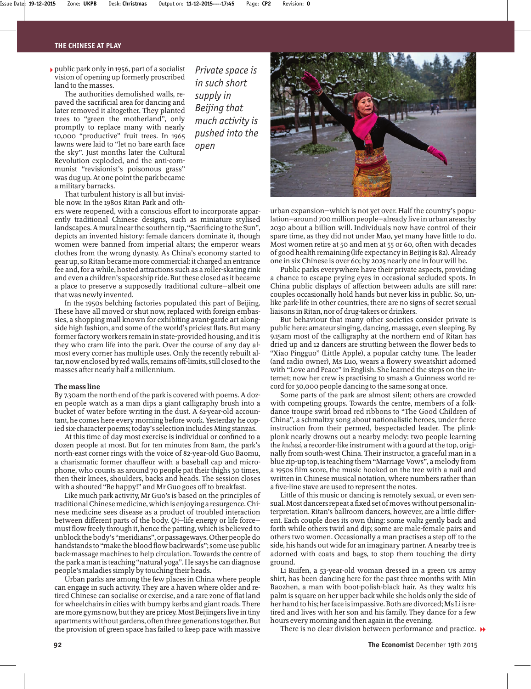# **THE CHINESE AT PLAY**

public park only in 1956, part of a socialist <sup>2</sup> *Private space is* vision of opening up formerly proscribed land to the masses.

The authorities demolished walls, repaved the sacrificial area for dancing and later removed it altogether. They planted trees to "green the motherland", only promptly to replace many with nearly 10,000 "productive" fruit trees. In 1965 lawns were laid to "let no bare earth face the sky". Just months later the Cultural Revolution exploded, and the anti-communist "revisionist's poisonous grass" was dug up. At one point the parkbecame a military barracks.

*in such short supply in Beijing that much activity is pushed into the open*



ers were reopened, with a conscious effort to incorporate apparently traditional Chinese designs, such as miniature stylised landscapes. A mural near the southern tip, "Sacrificing to the Sun", depicts an invented history: female dancers dominate it, though women were banned from imperial altars; the emperor wears clothes from the wrong dynasty. As China's economy started to gearup, so Ritan became more commercial: it charged an entrance fee and, for a while, hosted attractions such as a roller-skating rink and even a children's spaceship ride. But these closed as it became a place to preserve a supposedly traditional culture—albeit one that was newly invented.

In the 1950s belching factories populated this part of Beijing. These have all moved or shut now, replaced with foreign embassies, a shopping mall known for exhibiting avant-garde art alongside high fashion, and some of the world's priciest flats. But many former factory workers remain in state-provided housing, and it is they who cram life into the park. Over the course of any day almost every corner has multiple uses. Only the recently rebuilt altar, nowenclosed byred walls, remainsoff-limits, still closed to the masses after nearly half a millennium.

#### **The mass line**

By 7.30am the north end of the park is covered with poems. A dozen people watch as a man dips a giant calligraphy brush into a bucket of water before writing in the dust. A 61-year-old accountant, he comes here every morning before work. Yesterday he copied six-character poems; today's selection includes Ming stanzas.

At this time of day most exercise is individual or confined to a dozen people at most. But for ten minutes from 8am, the park's north-east corner rings with the voice of 82-year-old Guo Baomu, a charismatic former chauffeur with a baseball cap and microphone, who counts as around 70 people pat their thighs 30 times, then their knees, shoulders, backs and heads. The session closes with a shouted "Be happy!" and Mr Guo goes off to breakfast.

Like much park activity, Mr Guo's is based on the principles of traditional Chinese medicine, which isenjoyinga resurgence. Chinese medicine sees disease as a product of troubled interaction between different parts of the body. *Qi*—life energy or life force must flow freely through it, hence the patting, which is believed to unblockthe body's"meridians", orpassageways. Otherpeople do handstands to "make the blood flow backwards"; some use public back-massage machines to help circulation. Towards the centre of the parka man is teaching"natural yoga". He says he can diagnose people's maladies simply by touching their heads.

Urban parks are among the few places in China where people can engage in such activity. They are a haven where older and retired Chinese can socialise or exercise, and a rare zone of flat land for wheelchairs in cities with bumpy kerbs and giant roads. There are more gyms now, but they are pricey. Most Beijingers live in tiny apartments without gardens, often three generations together. But the provision of green space has failed to keep pace with massive



urban expansion—which is not yet over. Half the country's population—around 700 million people—alreadylive in urban areas; by 2030 about a billion will. Individuals now have control of their spare time, as they did not under Mao, yet many have little to do. Most women retire at 50 and men at 55 or 60, often with decades ofgood health remaining (life expectancy in Beijing is 82). Already one in six Chinese is over 60; by 2025 nearly one in four will be.

Public parks everywhere have their private aspects, providing a chance to escape prying eyes in occasional secluded spots. In China public displays of affection between adults are still rare: couples occasionally hold hands but never kiss in public. So, unlike park-life in other countries, there are no signs of secret sexual liaisons in Ritan, nor of drug-takers or drinkers.

But behaviour that many other societies consider private is public here: amateur singing, dancing, massage, even sleeping. By 9.15am most of the calligraphy at the northern end of Ritan has dried up and 12 dancers are strutting between the flower beds to "Xiao Pingguo" (Little Apple), a popular catchy tune. The leader (and radio owner), Ms Luo, wears a flowery sweatshirt adorned with "Love and Peace" in English. She learned the steps on the internet; now her crew is practising to smash a Guinness world record for 30,000 people dancing to the same song at once.

Some parts of the park are almost silent; others are crowded with competing groups. Towards the centre, members of a folkdance troupe swirl broad red ribbons to "The Good Children of China", a schmaltzy song about nationalistic heroes, under fierce instruction from their permed, bespectacled leader. The plinkplonk nearly drowns out a nearby melody: two people learning the *hulusi*, a recorder-like instrument with a gourd at the top, originally from south-west China. Their instructor, a graceful man in a blue zip-up top, is teaching them "Marriage Vows", a melody from a 1950s film score, the music hooked on the tree with a nail and written in Chinese musical notation, where numbers rather than a five-line stave are used to represent the notes.

Little of this music or dancing is remotely sexual, or even sensual. Most dancers repeat a fixed set of moves without personal interpretation. Ritan's ballroom dancers, however, are a little different. Each couple does its own thing: some waltz gently back and forth while others twirl and dip; some are male-female pairs and others two women. Occasionally a man practises a step off to the side, his hands out wide for an imaginary partner. A nearby tree is adorned with coats and bags, to stop them touching the dirty ground.

Li Ruifen, a 53-year-old woman dressed in a green US army shirt, has been dancing here for the past three months with Min Baozhen, a man with boot-polish-black hair. As they waltz his palm is square on her upper back while she holds only the side of her hand to his; her face is impassive. Both are divorced; Ms Li is retired and lives with her son and his family. They dance for a few hours every morning and then again in the evening.

There is no clear division between performance and practice.  $\rightarrow$